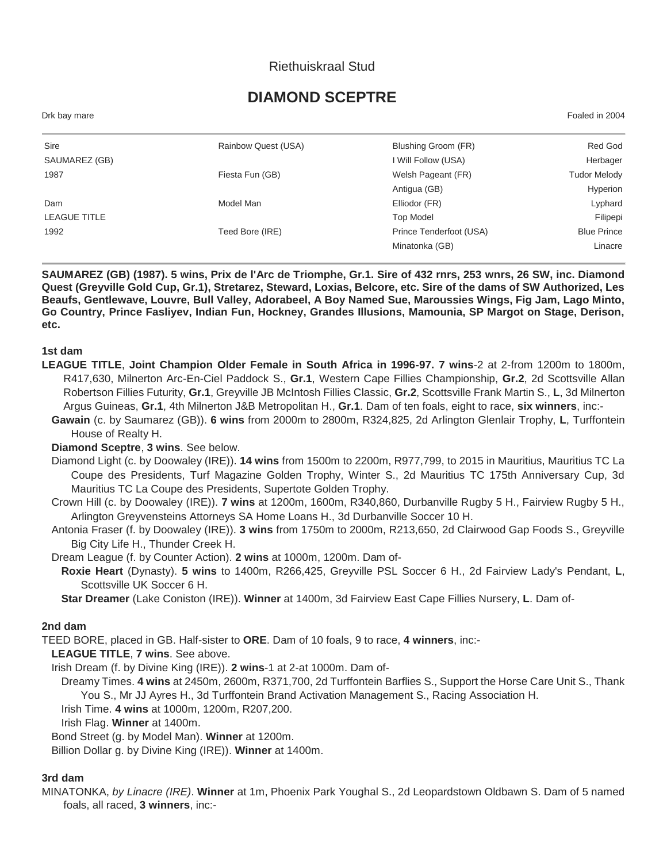# Riethuiskraal Stud

# **DIAMOND SCEPTRE**

| Drk bay mare | Foaled in 2004 |
|--------------|----------------|
|              |                |
|              |                |

| Sire          | Rainbow Quest (USA) | Blushing Groom (FR)     | Red God             |
|---------------|---------------------|-------------------------|---------------------|
| SAUMAREZ (GB) |                     | I Will Follow (USA)     | Herbager            |
| 1987          | Fiesta Fun (GB)     | Welsh Pageant (FR)      | <b>Tudor Melody</b> |
|               |                     | Antigua (GB)            | Hyperion            |
| Dam           | Model Man           | Elliodor (FR)           | Lyphard             |
| LEAGUE TITLE  |                     | <b>Top Model</b>        | Filipepi            |
| 1992          | Teed Bore (IRE)     | Prince Tenderfoot (USA) | <b>Blue Prince</b>  |
|               |                     | Minatonka (GB)          | Linacre             |

**SAUMAREZ (GB) (1987). 5 wins, Prix de l'Arc de Triomphe, Gr.1. Sire of 432 rnrs, 253 wnrs, 26 SW, inc. Diamond Quest (Greyville Gold Cup, Gr.1), Stretarez, Steward, Loxias, Belcore, etc. Sire of the dams of SW Authorized, Les Beaufs, Gentlewave, Louvre, Bull Valley, Adorabeel, A Boy Named Sue, Maroussies Wings, Fig Jam, Lago Minto, Go Country, Prince Fasliyev, Indian Fun, Hockney, Grandes Illusions, Mamounia, SP Margot on Stage, Derison, etc.**

#### **1st dam**

- **LEAGUE TITLE**, **Joint Champion Older Female in South Africa in 1996-97. 7 wins**-2 at 2-from 1200m to 1800m, R417,630, Milnerton Arc-En-Ciel Paddock S., **Gr.1**, Western Cape Fillies Championship, **Gr.2**, 2d Scottsville Allan Robertson Fillies Futurity, **Gr.1**, Greyville JB McIntosh Fillies Classic, **Gr.2**, Scottsville Frank Martin S., **L**, 3d Milnerton Argus Guineas, **Gr.1**, 4th Milnerton J&B Metropolitan H., **Gr.1**. Dam of ten foals, eight to race, **six winners**, inc:-
	- **Gawain** (c. by Saumarez (GB)). **6 wins** from 2000m to 2800m, R324,825, 2d Arlington Glenlair Trophy, **L**, Turffontein House of Realty H.

#### **Diamond Sceptre**, **3 wins**. See below.

- Diamond Light (c. by Doowaley (IRE)). **14 wins** from 1500m to 2200m, R977,799, to 2015 in Mauritius, Mauritius TC La Coupe des Presidents, Turf Magazine Golden Trophy, Winter S., 2d Mauritius TC 175th Anniversary Cup, 3d Mauritius TC La Coupe des Presidents, Supertote Golden Trophy.
- Crown Hill (c. by Doowaley (IRE)). **7 wins** at 1200m, 1600m, R340,860, Durbanville Rugby 5 H., Fairview Rugby 5 H., Arlington Greyvensteins Attorneys SA Home Loans H., 3d Durbanville Soccer 10 H.

Antonia Fraser (f. by Doowaley (IRE)). **3 wins** from 1750m to 2000m, R213,650, 2d Clairwood Gap Foods S., Greyville Big City Life H., Thunder Creek H.

Dream League (f. by Counter Action). **2 wins** at 1000m, 1200m. Dam of-

**Roxie Heart** (Dynasty). **5 wins** to 1400m, R266,425, Greyville PSL Soccer 6 H., 2d Fairview Lady's Pendant, **L**, Scottsville UK Soccer 6 H.

**Star Dreamer** (Lake Coniston (IRE)). **Winner** at 1400m, 3d Fairview East Cape Fillies Nursery, **L**. Dam of-

#### **2nd dam**

TEED BORE, placed in GB. Half-sister to **ORE**. Dam of 10 foals, 9 to race, **4 winners**, inc:-

**LEAGUE TITLE**, **7 wins**. See above.

Irish Dream (f. by Divine King (IRE)). **2 wins**-1 at 2-at 1000m. Dam of-

Dreamy Times. **4 wins** at 2450m, 2600m, R371,700, 2d Turffontein Barflies S., Support the Horse Care Unit S., Thank You S., Mr JJ Ayres H., 3d Turffontein Brand Activation Management S., Racing Association H. Irish Time. **4 wins** at 1000m, 1200m, R207,200.

Irish Flag. **Winner** at 1400m.

Bond Street (g. by Model Man). **Winner** at 1200m.

Billion Dollar g. by Divine King (IRE)). **Winner** at 1400m.

## **3rd dam**

MINATONKA, *by Linacre (IRE)*. **Winner** at 1m, Phoenix Park Youghal S., 2d Leopardstown Oldbawn S. Dam of 5 named foals, all raced, **3 winners**, inc:-